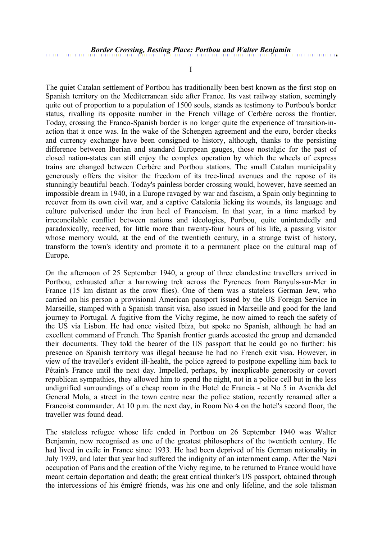I

The quiet Catalan settlement of Portbou has traditionally been best known as the first stop on Spanish territory on the Mediterranean side after France. Its vast railway station, seemingly quite out of proportion to a population of 1500 souls, stands as testimony to Portbou's border status, rivalling its opposite number in the French village of Cerbère across the frontier. Today, crossing the Franco-Spanish border is no longer quite the experience of transition-inaction that it once was. In the wake of the Schengen agreement and the euro, border checks and currency exchange have been consigned to history, although, thanks to the persisting difference between Iberian and standard European gauges, those nostalgic for the past of closed nation-states can still enjoy the complex operation by which the wheels of express trains are changed between Cerbère and Portbou stations. The small Catalan municipality generously offers the visitor the freedom of its tree-lined avenues and the repose of its stunningly beautiful beach. Today's painless border crossing would, however, have seemed an impossible dream in 1940, in a Europe ravaged by war and fascism, a Spain only beginning to recover from its own civil war, and a captive Catalonia licking its wounds, its language and culture pulverised under the iron heel of Francoism. In that year, in a time marked by irreconcilable conflict between nations and ideologies, Portbou, quite unintendedly and paradoxically, received, for little more than twenty-four hours of his life, a passing visitor whose memory would, at the end of the twentieth century, in a strange twist of history, transform the town's identity and promote it to a permanent place on the cultural map of Europe.

On the afternoon of 25 September 1940, a group of three clandestine travellers arrived in Portbou, exhausted after a harrowing trek across the Pyrenees from Banyuls-sur-Mer in France (15 km distant as the crow flies). One of them was a stateless German Jew, who carried on his person a provisional American passport issued by the US Foreign Service in Marseille, stamped with a Spanish transit visa, also issued in Marseille and good for the land journey to Portugal. A fugitive from the Vichy regime, he now aimed to reach the safety of the US via Lisbon. He had once visited Ibiza, but spoke no Spanish, although he had an excellent command of French. The Spanish frontier guards accosted the group and demanded their documents. They told the bearer of the US passport that he could go no further: his presence on Spanish territory was illegal because he had no French exit visa. However, in view of the traveller's evident ill-health, the police agreed to postpone expelling him back to Pétain's France until the next day. Impelled, perhaps, by inexplicable generosity or covert republican sympathies, they allowed him to spend the night, not in a police cell but in the less undignified surroundings of a cheap room in the Hotel de Francia - at No 5 in Avenida del General Mola, a street in the town centre near the police station, recently renamed after a Francoist commander. At 10 p.m. the next day, in Room No 4 on the hotel's second floor, the traveller was found dead.

The stateless refugee whose life ended in Portbou on 26 September 1940 was Walter Benjamin, now recognised as one of the greatest philosophers of the twentieth century. He had lived in exile in France since 1933. He had been deprived of his German nationality in July 1939, and later that year had suffered the indignity of an internment camp. After the Nazi occupation of Paris and the creation of the Vichy regime, to be returned to France would have meant certain deportation and death; the great critical thinker's US passport, obtained through the intercessions of his émigré friends, was his one and only lifeline, and the sole talisman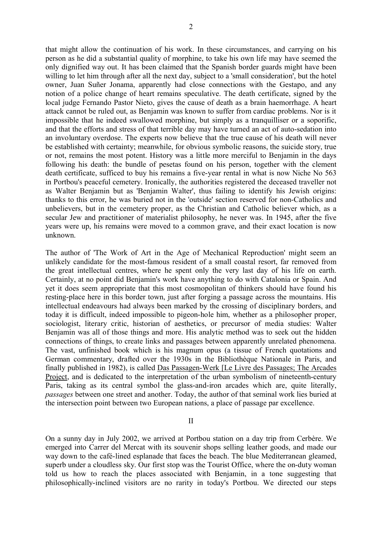that might allow the continuation of his work. In these circumstances, and carrying on his person as he did a substantial quality of morphine, to take his own life may have seemed the only dignified way out. It has been claimed that the Spanish border guards might have been willing to let him through after all the next day, subject to a 'small consideration', but the hotel owner, Juan Suñer Jonama, apparently had close connections with the Gestapo, and any notion of a police change of heart remains speculative. The death certificate, signed by the local judge Fernando Pastor Nieto, gives the cause of death as a brain haemorrhage. A heart attack cannot be ruled out, as Benjamin was known to suffer from cardiac problems. Nor is it impossible that he indeed swallowed morphine, but simply as a tranquilliser or a soporific, and that the efforts and stress of that terrible day may have turned an act of auto-sedation into an involuntary overdose. The experts now believe that the true cause of his death will never be established with certainty; meanwhile, for obvious symbolic reasons, the suicide story, true or not, remains the most potent. History was a little more merciful to Benjamin in the days following his death: the bundle of pesetas found on his person, together with the clement death certificate, sufficed to buy his remains a five-year rental in what is now Niche No 563 in Portbou's peaceful cemetery. Ironically, the authorities registered the deceased traveller not as Walter Benjamin but as 'Benjamin Walter', thus failing to identify his Jewish origins: thanks to this error, he was buried not in the 'outside' section reserved for non-Catholics and unbelievers, but in the cemetery proper, as the Christian and Catholic believer which, as a secular Jew and practitioner of materialist philosophy, he never was. In 1945, after the five years were up, his remains were moved to a common grave, and their exact location is now unknown.

The author of 'The Work of Art in the Age of Mechanical Reproduction' might seem an unlikely candidate for the most-famous resident of a small coastal resort, far removed from the great intellectual centres, where he spent only the very last day of his life on earth. Certainly, at no point did Benjamin's work have anything to do with Catalonia or Spain. And yet it does seem appropriate that this most cosmopolitan of thinkers should have found his resting-place here in this border town, just after forging a passage across the mountains. His intellectual endeavours had always been marked by the crossing of disciplinary borders, and today it is difficult, indeed impossible to pigeon-hole him, whether as a philosopher proper, sociologist, literary critic, historian of aesthetics, or precursor of media studies: Walter Benjamin was all of those things and more. His analytic method was to seek out the hidden connections of things, to create links and passages between apparently unrelated phenomena. The vast, unfinished book which is his magnum opus (a tissue of French quotations and German commentary, drafted over the 1930s in the Bibliothèque Nationale in Paris, and finally published in 1982), is called Das Passagen-Werk [Le Livre des Passages; The Arcades Project, and is dedicated to the interpretation of the urban symbolism of nineteenth-century Paris, taking as its central symbol the glass-and-iron arcades which are, quite literally, *passages* between one street and another. Today, the author of that seminal work lies buried at the intersection point between two European nations, a place of passage par excellence.

II

On a sunny day in July 2002, we arrived at Portbou station on a day trip from Cerbère. We emerged into Carrer del Mercat with its souvenir shops selling leather goods, and made our way down to the café-lined esplanade that faces the beach. The blue Mediterranean gleamed, superb under a cloudless sky. Our first stop was the Tourist Office, where the on-duty woman told us how to reach the places associated with Benjamin, in a tone suggesting that philosophically-inclined visitors are no rarity in today's Portbou. We directed our steps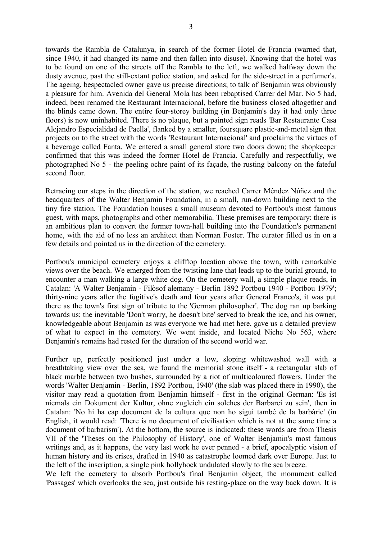towards the Rambla de Catalunya, in search of the former Hotel de Francia (warned that, since 1940, it had changed its name and then fallen into disuse). Knowing that the hotel was to be found on one of the streets off the Rambla to the left, we walked halfway down the dusty avenue, past the still-extant police station, and asked for the side-street in a perfumer's. The ageing, bespectacled owner gave us precise directions; to talk of Benjamin was obviously a pleasure for him. Avenida del General Mola has been rebaptised Carrer del Mar. No 5 had, indeed, been renamed the Restaurant Internacional, before the business closed altogether and the blinds came down. The entire four-storey building (in Benjamin's day it had only three floors) is now uninhabited. There is no plaque, but a painted sign reads 'Bar Restaurante Casa Alejandro Especialidad de Paella', flanked by a smaller, foursquare plastic-and-metal sign that projects on to the street with the words 'Restaurant Internacional' and proclaims the virtues of a beverage called Fanta. We entered a small general store two doors down; the shopkeeper confirmed that this was indeed the former Hotel de Francia. Carefully and respectfully, we photographed No 5 - the peeling ochre paint of its façade, the rusting balcony on the fateful second floor.

Retracing our steps in the direction of the station, we reached Carrer Méndez Núñez and the headquarters of the Walter Benjamin Foundation, in a small, run-down building next to the tiny fire station. The Foundation houses a small museum devoted to Portbou's most famous guest, with maps, photographs and other memorabilia. These premises are temporary: there is an ambitious plan to convert the former town-hall building into the Foundation's permanent home, with the aid of no less an architect than Norman Foster. The curator filled us in on a few details and pointed us in the direction of the cemetery.

Portbou's municipal cemetery enjoys a clifftop location above the town, with remarkable views over the beach. We emerged from the twisting lane that leads up to the burial ground, to encounter a man walking a large white dog. On the cemetery wall, a simple plaque reads, in Catalan: 'A Walter Benjamin - Filòsof alemany - Berlin 1892 Portbou 1940 - Portbou 1979'; thirty-nine years after the fugitive's death and four years after General Franco's, it was put there as the town's first sign of tribute to the 'German philosopher'. The dog ran up barking towards us; the inevitable 'Don't worry, he doesn't bite' served to break the ice, and his owner, knowledgeable about Benjamin as was everyone we had met here, gave us a detailed preview of what to expect in the cemetery. We went inside, and located Niche No 563, where Benjamin's remains had rested for the duration of the second world war.

Further up, perfectly positioned just under a low, sloping whitewashed wall with a breathtaking view over the sea, we found the memorial stone itself - a rectangular slab of black marble between two bushes, surrounded by a riot of multicoloured flowers. Under the words 'Walter Benjamin - Berlin, 1892 Portbou, 1940' (the slab was placed there in 1990), the visitor may read a quotation from Benjamin himself - first in the original German: 'Es ist niemals ein Dokument der Kultur, ohne zugleich ein solches der Barbarei zu sein', then in Catalan: 'No hi ha cap document de la cultura que non ho sigui també de la barbàrie' (in English, it would read: 'There is no document of civilisation which is not at the same time a document of barbarism'). At the bottom, the source is indicated: these words are from Thesis VII of the 'Theses on the Philosophy of History', one of Walter Benjamin's most famous writings and, as it happens, the very last work he ever penned - a brief, apocalyptic vision of human history and its crises, drafted in 1940 as catastrophe loomed dark over Europe. Just to the left of the inscription, a single pink hollyhock undulated slowly to the sea breeze.

We left the cemetery to absorb Portbou's final Benjamin object, the monument called 'Passages' which overlooks the sea, just outside his resting-place on the way back down. It is